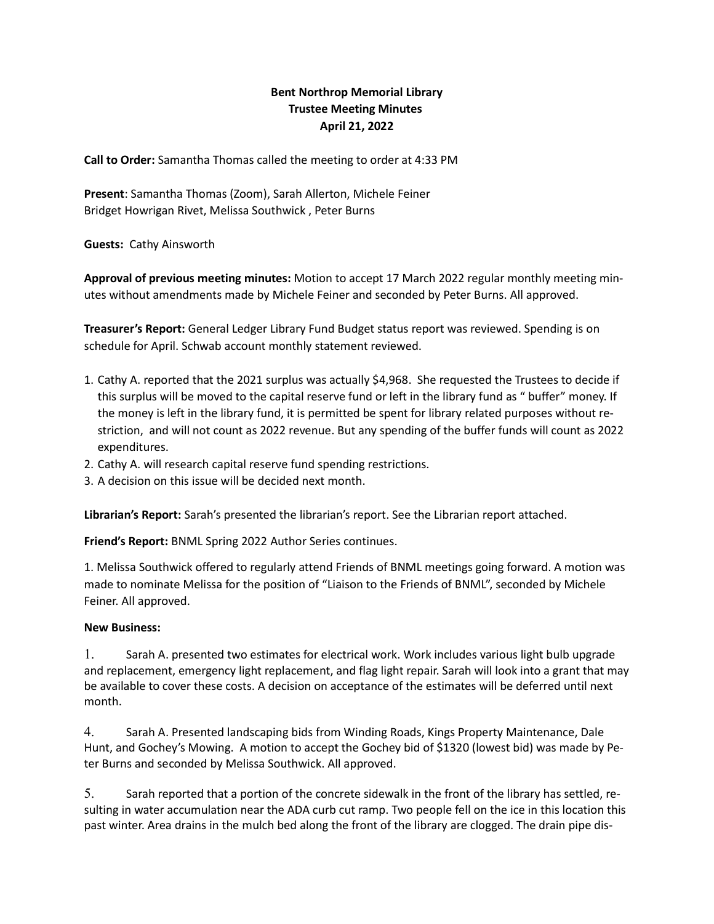## Bent Northrop Memorial Library Trustee Meeting Minutes April 21, 2022

Call to Order: Samantha Thomas called the meeting to order at 4:33 PM

Present: Samantha Thomas (Zoom), Sarah Allerton, Michele Feiner Bridget Howrigan Rivet, Melissa Southwick , Peter Burns

Guests: Cathy Ainsworth

Approval of previous meeting minutes: Motion to accept 17 March 2022 regular monthly meeting minutes without amendments made by Michele Feiner and seconded by Peter Burns. All approved.

Treasurer's Report: General Ledger Library Fund Budget status report was reviewed. Spending is on schedule for April. Schwab account monthly statement reviewed.

- 1. Cathy A. reported that the 2021 surplus was actually \$4,968. She requested the Trustees to decide if this surplus will be moved to the capital reserve fund or left in the library fund as " buffer" money. If the money is left in the library fund, it is permitted be spent for library related purposes without restriction, and will not count as 2022 revenue. But any spending of the buffer funds will count as 2022 expenditures.
- 2. Cathy A. will research capital reserve fund spending restrictions.
- 3. A decision on this issue will be decided next month.

Librarian's Report: Sarah's presented the librarian's report. See the Librarian report attached.

Friend's Report: BNML Spring 2022 Author Series continues.

1. Melissa Southwick offered to regularly attend Friends of BNML meetings going forward. A motion was made to nominate Melissa for the position of "Liaison to the Friends of BNML", seconded by Michele Feiner. All approved.

## New Business:

1. Sarah A. presented two estimates for electrical work. Work includes various light bulb upgrade and replacement, emergency light replacement, and flag light repair. Sarah will look into a grant that may be available to cover these costs. A decision on acceptance of the estimates will be deferred until next month.

4. Sarah A. Presented landscaping bids from Winding Roads, Kings Property Maintenance, Dale Hunt, and Gochey's Mowing. A motion to accept the Gochey bid of \$1320 (lowest bid) was made by Peter Burns and seconded by Melissa Southwick. All approved.

5. Sarah reported that a portion of the concrete sidewalk in the front of the library has settled, resulting in water accumulation near the ADA curb cut ramp. Two people fell on the ice in this location this past winter. Area drains in the mulch bed along the front of the library are clogged. The drain pipe dis